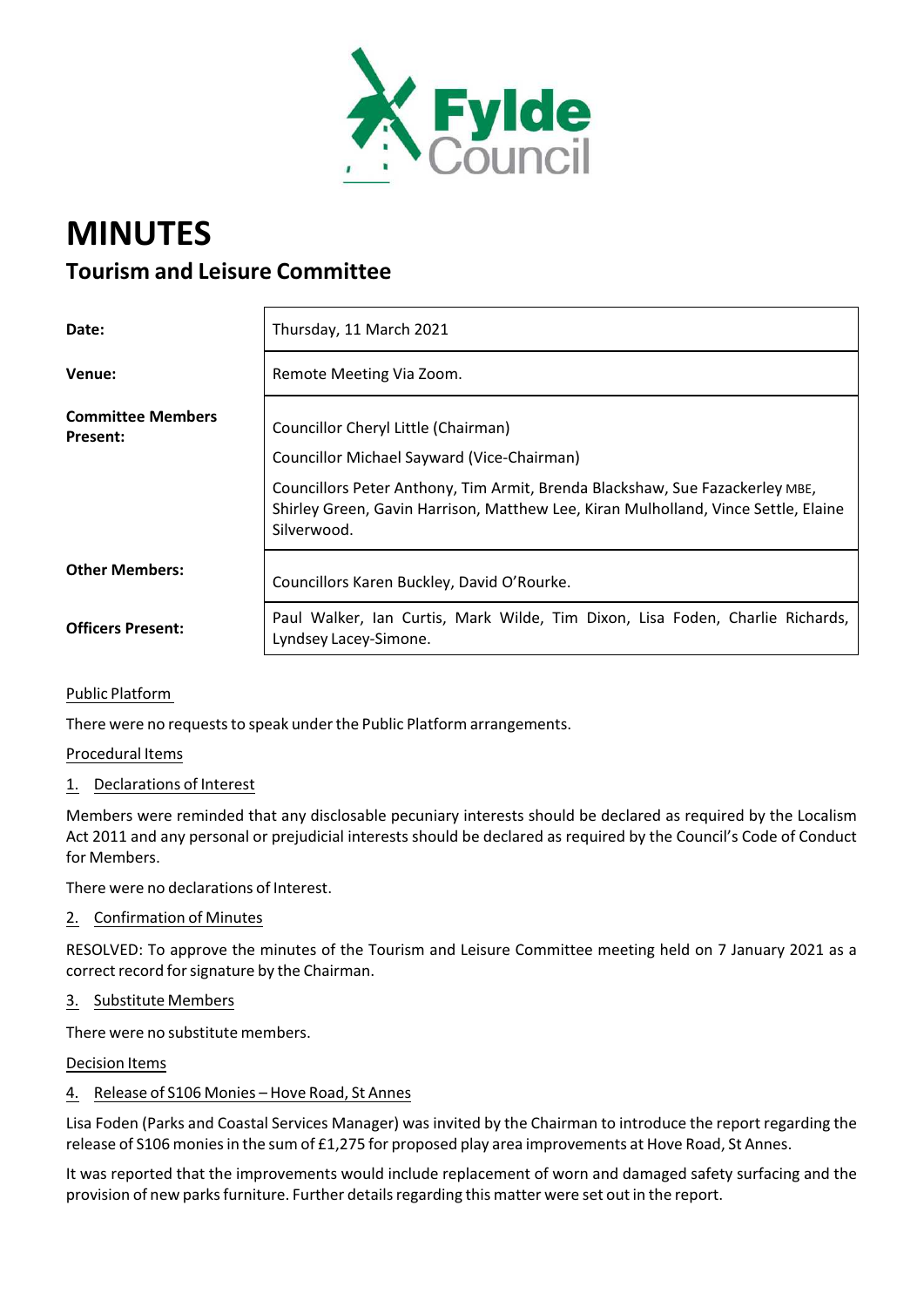

# **MINUTES Tourism and Leisure Committee**

| Date:                                | Thursday, 11 March 2021                                                                                                                                                                                                                                                |
|--------------------------------------|------------------------------------------------------------------------------------------------------------------------------------------------------------------------------------------------------------------------------------------------------------------------|
| Venue:                               | Remote Meeting Via Zoom.                                                                                                                                                                                                                                               |
| <b>Committee Members</b><br>Present: | Councillor Cheryl Little (Chairman)<br>Councillor Michael Sayward (Vice-Chairman)<br>Councillors Peter Anthony, Tim Armit, Brenda Blackshaw, Sue Fazackerley MBE,<br>Shirley Green, Gavin Harrison, Matthew Lee, Kiran Mulholland, Vince Settle, Elaine<br>Silverwood. |
| <b>Other Members:</b>                | Councillors Karen Buckley, David O'Rourke.                                                                                                                                                                                                                             |
| <b>Officers Present:</b>             | Paul Walker, Ian Curtis, Mark Wilde, Tim Dixon, Lisa Foden, Charlie Richards,<br>Lyndsey Lacey-Simone.                                                                                                                                                                 |

Public Platform

There were no requests to speak under the Public Platform arrangements.

Procedural Items

1. Declarations of Interest

Members were reminded that any disclosable pecuniary interests should be declared as required by the Localism Act 2011 and any personal or prejudicial interests should be declared as required by the Council's Code of Conduct for Members.

There were no declarations of Interest.

2. Confirmation of Minutes

RESOLVED: To approve the minutes of the Tourism and Leisure Committee meeting held on 7 January 2021 as a correct record for signature by the Chairman.

### 3. Substitute Members

There were no substitute members.

Decision Items

### 4. Release of S106 Monies – Hove Road, St Annes

Lisa Foden (Parks and Coastal Services Manager) was invited by the Chairman to introduce the report regarding the release of S106 moniesin the sum of £1,275 for proposed play area improvements at Hove Road, St Annes.

It was reported that the improvements would include replacement of worn and damaged safety surfacing and the provision of new parks furniture. Further details regarding this matter were set out in the report.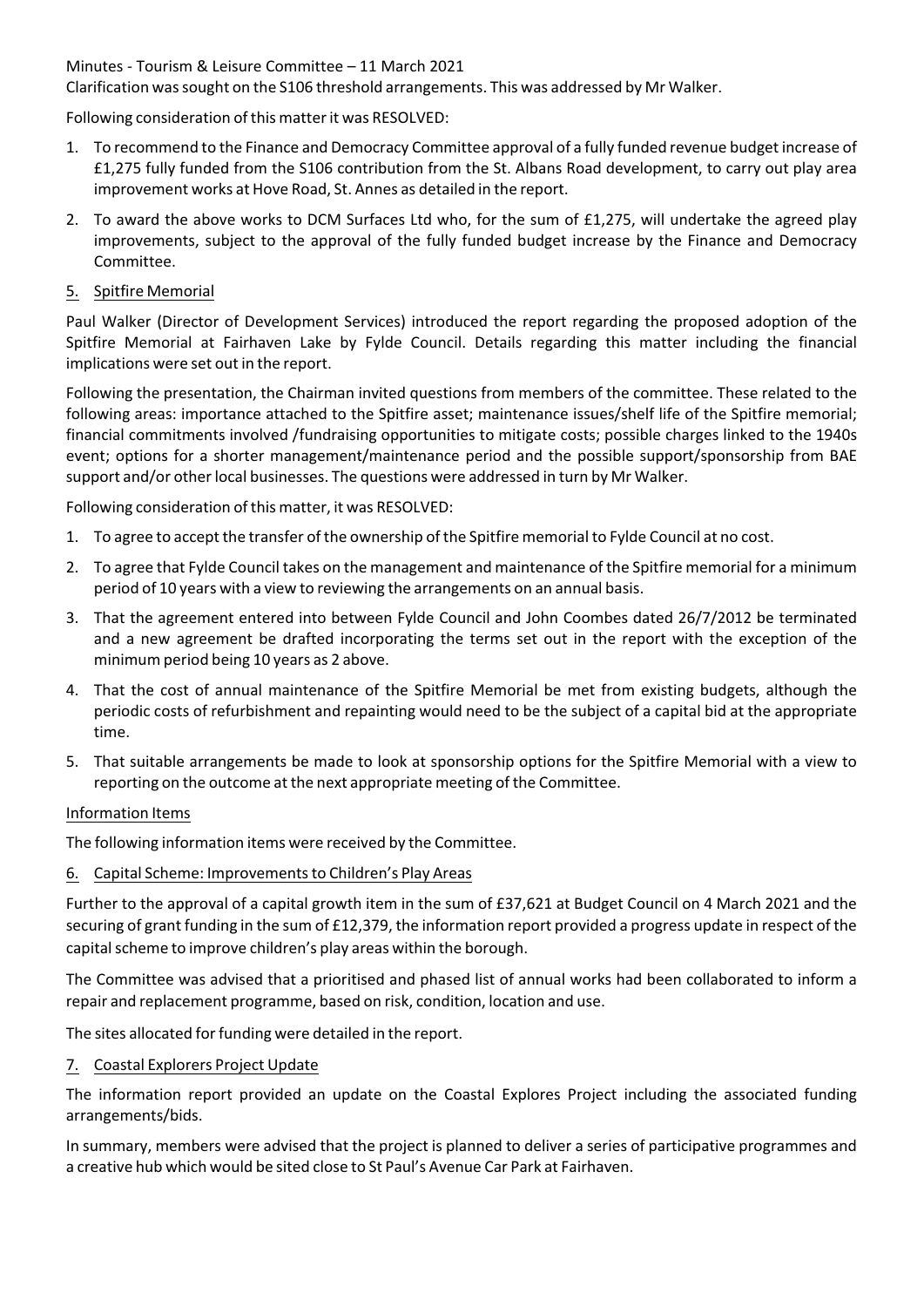Minutes ‐ Tourism & Leisure Committee – 11 March 2021

Clarification wassought on the S106 threshold arrangements. This was addressed by Mr Walker.

Following consideration of this matterit was RESOLVED:

- 1. To recommend to the Finance and Democracy Committee approval of a fully funded revenue budget increase of £1,275 fully funded from the S106 contribution from the St. Albans Road development, to carry out play area improvement works at Hove Road, St. Annes as detailed in the report.
- 2. To award the above works to DCM Surfaces Ltd who, for the sum of £1,275, will undertake the agreed play improvements, subject to the approval of the fully funded budget increase by the Finance and Democracy Committee.
- 5. Spitfire Memorial

Paul Walker (Director of Development Services) introduced the report regarding the proposed adoption of the Spitfire Memorial at Fairhaven Lake by Fylde Council. Details regarding this matter including the financial implications were set out in the report.

Following the presentation, the Chairman invited questions from members of the committee. These related to the following areas: importance attached to the Spitfire asset; maintenance issues/shelf life of the Spitfire memorial; financial commitments involved /fundraising opportunities to mitigate costs; possible charges linked to the 1940s event; options for a shorter management/maintenance period and the possible support/sponsorship from BAE support and/or other local businesses. The questions were addressed in turn by Mr Walker.

Following consideration of this matter, it was RESOLVED:

- 1. To agree to accept the transfer of the ownership of the Spitfire memorial to Fylde Council at no cost.
- 2. To agree that Fylde Council takes on the management and maintenance of the Spitfire memorial for a minimum period of 10 years with a view to reviewing the arrangements on an annual basis.
- 3. That the agreement entered into between Fylde Council and John Coombes dated 26/7/2012 be terminated and a new agreement be drafted incorporating the terms set out in the report with the exception of the minimum period being 10 years as 2 above.
- 4. That the cost of annual maintenance of the Spitfire Memorial be met from existing budgets, although the periodic costs of refurbishment and repainting would need to be the subject of a capital bid at the appropriate time.
- 5. That suitable arrangements be made to look at sponsorship options for the Spitfire Memorial with a view to reporting on the outcome at the next appropriate meeting of the Committee.

### Information Items

The following information items were received by the Committee.

6. Capital Scheme: Improvementsto Children's Play Areas

Further to the approval of a capital growth item in the sum of £37,621 at Budget Council on 4 March 2021 and the securing of grant funding in the sum of £12,379, the information report provided a progress update in respect of the capital scheme to improve children's play areas within the borough.

The Committee was advised that a prioritised and phased list of annual works had been collaborated to inform a repair and replacement programme, based on risk, condition, location and use.

The sites allocated for funding were detailed in the report.

7. Coastal Explorers Project Update

The information report provided an update on the Coastal Explores Project including the associated funding arrangements/bids.

In summary, members were advised that the project is planned to deliver a series of participative programmes and a creative hub which would be sited close to St Paul's Avenue Car Park at Fairhaven.